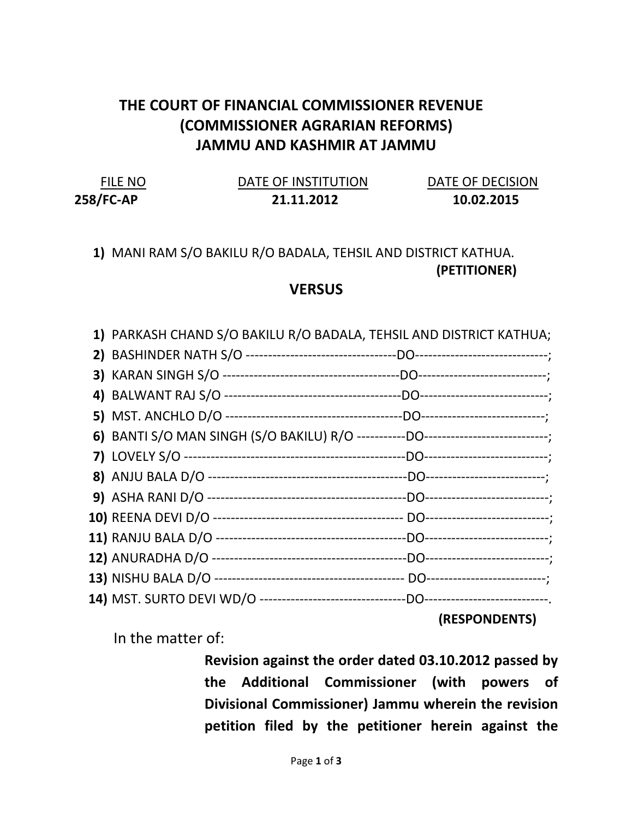# THE COURT OF FINANCIAL COMMISSIONER REVENUE (COMMISSIONER AGRARIAN REFORMS) JAMMU AND KASHMIR AT JAMMU

| FILE NO   | DATE OF INSTITUTION | DATE OF DECISION |
|-----------|---------------------|------------------|
| 258/FC-AP | 21.11.2012          | 10.02.2015       |

# 1) MANI RAM S/O BAKILU R/O BADALA, TEHSIL AND DISTRICT KATHUA. (PETITIONER)

#### **VERSUS**

| 1) PARKASH CHAND S/O BAKILU R/O BADALA, TEHSIL AND DISTRICT KATHUA; |
|---------------------------------------------------------------------|
|                                                                     |
|                                                                     |
|                                                                     |
|                                                                     |
|                                                                     |
|                                                                     |
|                                                                     |
|                                                                     |
|                                                                     |
|                                                                     |
|                                                                     |
|                                                                     |
|                                                                     |
|                                                                     |

(RESPONDENTS)

In the matter of:

Revision against the order dated 03.10.2012 passed by the Additional Commissioner (with powers of Divisional Commissioner) Jammu wherein the revision petition filed by the petitioner herein against the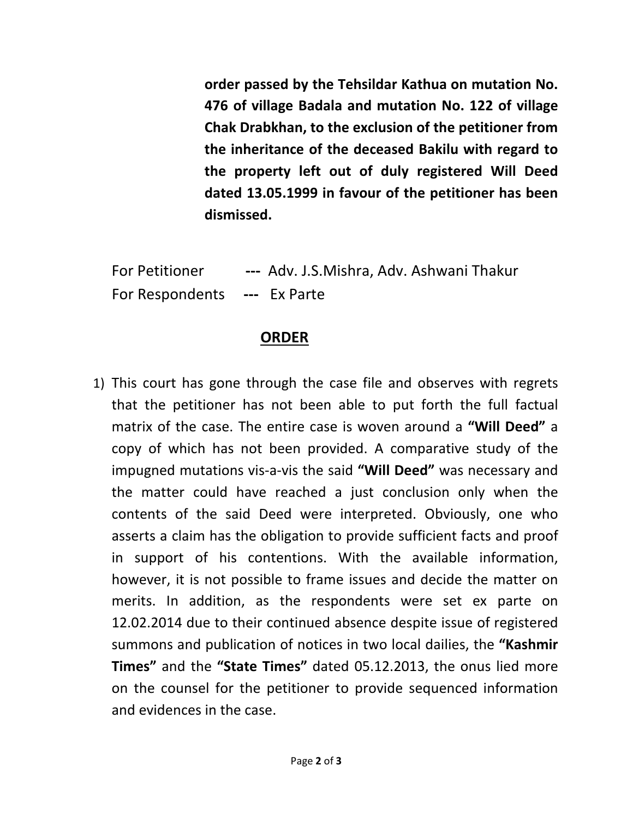order passed by the Tehsildar Kathua on mutation No. 476 of village Badala and mutation No. 122 of village Chak Drabkhan, to the exclusion of the petitioner from the inheritance of the deceased Bakilu with regard to the property left out of duly registered Will Deed dated 13.05.1999 in favour of the petitioner has been dismissed.

For Petitioner --- Adv. J.S.Mishra, Adv. Ashwani Thakur For Respondents --- Ex Parte

### ORDER

1) This court has gone through the case file and observes with regrets that the petitioner has not been able to put forth the full factual matrix of the case. The entire case is woven around a "Will Deed" a copy of which has not been provided. A comparative study of the impugned mutations vis-a-vis the said "Will Deed" was necessary and the matter could have reached a just conclusion only when the contents of the said Deed were interpreted. Obviously, one who asserts a claim has the obligation to provide sufficient facts and proof in support of his contentions. With the available information, however, it is not possible to frame issues and decide the matter on merits. In addition, as the respondents were set ex parte on 12.02.2014 due to their continued absence despite issue of registered summons and publication of notices in two local dailies, the "Kashmir Times" and the "State Times" dated 05.12.2013, the onus lied more on the counsel for the petitioner to provide sequenced information and evidences in the case.